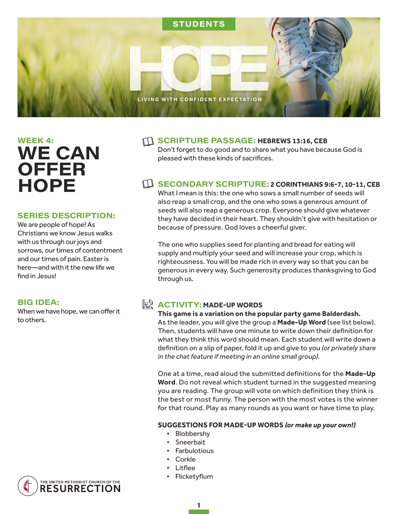

# WEEK 4: **WE CAN OFFER HOPE**

#### **SERIES DESCRIPTION:**

We are people of hope! As Christians we know Jesus walks with us through our joys and sorrows, our times of contentment and our times of pain. Easter is here—and with it the new life we find in Jesus!

#### **BIG IDEA:**

When we have hope, we can offer it to others.

#### **SCRIPTURE PASSAGE: HEBREWS 13:16, CEB**

Don't forget to do good and to share what you have because God is pleased with these kinds of sacrifices.

### **EDUARY SCRIPTURE: 2 CORINTHIANS 9:6-7, 10-11, CEB**

What I mean is this: the one who sows a small number of seeds will also reap a small crop, and the one who sows a generous amount of seeds will also reap a generous crop. Everyone should give whatever they have decided in their heart. They shouldn't give with hesitation or because of pressure. God loves a cheerful giver.

The one who supplies seed for planting and bread for eating will supply and multiply your seed and will increase your crop, which is righteousness. You will be made rich in every way so that you can be generous in every way. Such generosity produces thanksgiving to God through us.

## $h^h$ **ACTIVITY: MADE-UP WORDS**

**This game is a variation on the popular party game Balderdash.**  As the leader, you will give the group a **Made-Up Word** (see list below). Then, students will have one minute to write down their definition for what they think this word should mean. Each student will write down a definition on a slip of paper, fold it up and give to you *(or privately share in the chat feature if meeting in an online small group)*.

One at a time, read aloud the submitted definitions for the **Made-Up Word**. Do not reveal which student turned in the suggested meaning you are reading. The group will vote on which definition they think is the best or most funny. The person with the most votes is the winner for that round. Play as many rounds as you want or have time to play.

#### **SUGGESTIONS FOR MADE-UP WORDS** *(or make up your own!)*

- Blobbershy
- Sneerbait
- Farbulotious
- Corkle
- Litflee
- Flicketyflum

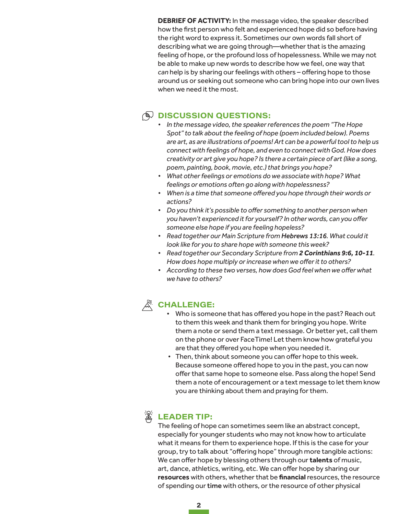**DEBRIEF OF ACTIVITY:** In the message video, the speaker described how the first person who felt and experienced hope did so before having the right word to express it. Sometimes our own words fall short of describing what we are going through—whether that is the amazing feeling of hope, or the profound loss of hopelessness. While we may not be able to make up new words to describe how we feel, one way that *can* help is by sharing our feelings with others – offering hope to those around us or seeking out someone who can bring hope into our own lives when we need it the most.

## $\circledR$  DISCUSSION QUESTIONS:

- *• In the message video, the speaker references the poem "The Hope Spot" to talk about the feeling of hope (poem included below). Poems are art, as are illustrations of poems! Art can be a powerful tool to help us connect with feelings of hope, and even to connect with God. How does creativity or art give you hope? Is there a certain piece of art (like a song, poem, painting, book, movie, etc.) that brings you hope?*
- *• What other feelings or emotions do we associate with hope? What feelings or emotions often go along with hopelessness?*
- *• When is a time that someone offered you hope through theirwords or actions?*
- *• Do you think it's possible to offer something to another personwhen you haven't experienced itfor yourself? In otherwords, can you offer someone else hope if you are feeling hopeless?*
- *• Read together our Main Scripture from Hebrews 13:16. What could it look like for you to share hope with someone this week?*
- *• Read together our Secondary Scripture from 2 Corinthians 9:6, 10-11. Howdoes hope multiply orincreasewhenwe offeritto others?*
- *• According to these two verses, howdoesGod feelwhenwe offerwhat we have to others?*

## $\mathcal{K}$  Challenge:

- Who is someone that has offered you hope in the past? Reach out to them this week and thank them for bringing you hope. Write them a note or send them a text message. Or better yet, call them on the phone or over FaceTime! Let them know how grateful you are that they offered you hope when you needed it.
- Then, think about someone you can offer hope to this week. Because someone offered hope to you in the past, you can now offer that same hope to someone else. Pass along the hope! Send them a note of encouragement or a text message to let them know you are thinking about them and praying for them.



## **LEADER TIP:**

The feeling of hope can sometimes seem like an abstract concept, especially for younger students who may not know how to articulate what it means for them to experience hope. If this is the case for your group, try to talk about "offering hope" through more tangible actions: We can offer hope by blessing others through our **talents** of music, art, dance, athletics, writing, etc. We can offer hope by sharing our **resources** with others, whether that be **financial** resources, the resource of spending our time with others, or the resource of other physical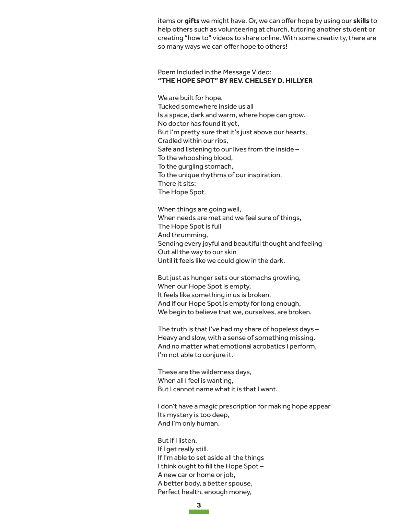items or **gifts** we might have. Or, we can offer hope by using our **skills** to help others such as volunteering at church, tutoring another student or creating "how to" videos to share online. With some creativity, there are so many ways we can offer hope to others!

#### Poem Included in the Message Video: **"THE HOPE SPOT" BY REV. CHELSEY D. HILLYER**

We are built for hope. Tucked somewhere inside us all Is a space, dark and warm, where hope can grow. No doctor has found it yet, But I'm pretty sure that it's just above our hearts, Cradled within our ribs, Safe and listening to our lives from the inside – To the whooshing blood, To the gurgling stomach, To the unique rhythms of our inspiration. There it sits: The Hope Spot.

When things are going well, When needs are met and we feel sure of things, The Hope Spot is full And thrumming, Sending every joyful and beautiful thought and feeling Out all the way to our skin Until it feels like we could glow in the dark.

But just as hunger sets our stomachs growling, When our Hope Spot is empty, It feels like something in us is broken. And if our Hope Spot is empty for long enough, We begin to believe that we, ourselves, are broken.

The truth is that I've had my share of hopeless days – Heavy and slow, with a sense of something missing. And no matter what emotional acrobatics I perform, I'm not able to conjure it.

These are the wilderness days, When all I feel is wanting, But I cannot name what it is that I want.

I don't have a magic prescription for making hope appear Its mystery is too deep, And I'm only human.

But if I listen. If I get really still. If I'm able to set aside all the things I think ought to fill the Hope Spot – A new car or home or job, A better body, a better spouse, Perfect health, enough money,